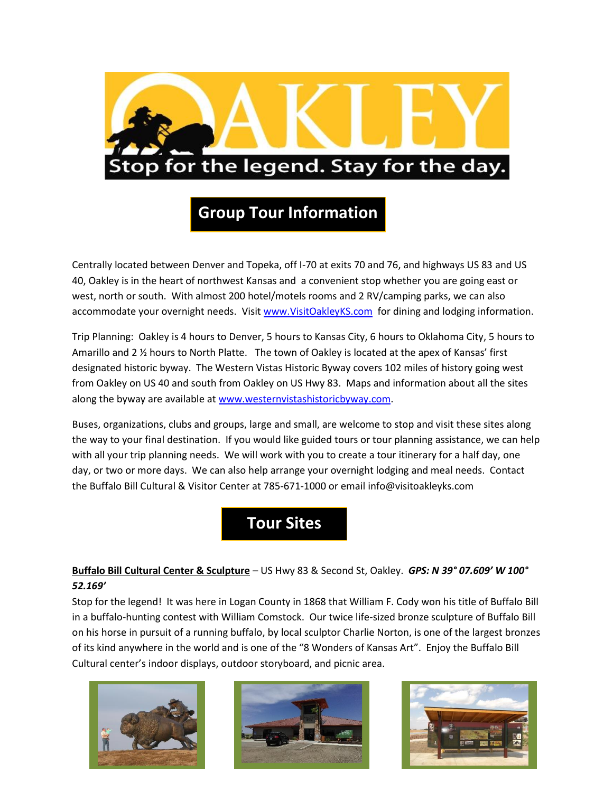

# **Group Tour Information**

Centrally located between Denver and Topeka, off I-70 at exits 70 and 76, and highways US 83 and US 40, Oakley is in the heart of northwest Kansas and a convenient stop whether you are going east or west, north or south. With almost 200 hotel/motels rooms and 2 RV/camping parks, we can also accommodate your overnight needs. Visit [www.VisitOakleyKS.com](http://www.visitoakleyks.com/) for dining and lodging information.

Trip Planning: Oakley is 4 hours to Denver, 5 hours to Kansas City, 6 hours to Oklahoma City, 5 hours to Amarillo and 2 ½ hours to North Platte. The town of Oakley is located at the apex of Kansas' first designated historic byway. The Western Vistas Historic Byway covers 102 miles of history going west from Oakley on US 40 and south from Oakley on US Hwy 83. Maps and information about all the sites along the byway are available at [www.westernvistashistoricbyway.com.](http://www.westernvistashistoricbyway.com/)

Buses, organizations, clubs and groups, large and small, are welcome to stop and visit these sites along the way to your final destination. If you would like guided tours or tour planning assistance, we can help with all your trip planning needs. We will work with you to create a tour itinerary for a half day, one day, or two or more days. We can also help arrange your overnight lodging and meal needs. Contact the Buffalo Bill Cultural & Visitor Center at 785-671-1000 or email info@visitoakleyks.com

# **Tour Sites**

# **Buffalo Bill Cultural Center & Sculpture** – US Hwy 83 & Second St, Oakley. *GPS: N 39° 07.609' W 100° 52.169'*

Stop for the legend! It was here in Logan County in 1868 that William F. Cody won his title of Buffalo Bill in a buffalo-hunting contest with William Comstock. Our twice life-sized bronze sculpture of Buffalo Bill on his horse in pursuit of a running buffalo, by local sculptor Charlie Norton, is one of the largest bronzes of its kind anywhere in the world and is one of the "8 Wonders of Kansas Art". Enjoy the Buffalo Bill Cultural center's indoor displays, outdoor storyboard, and picnic area.





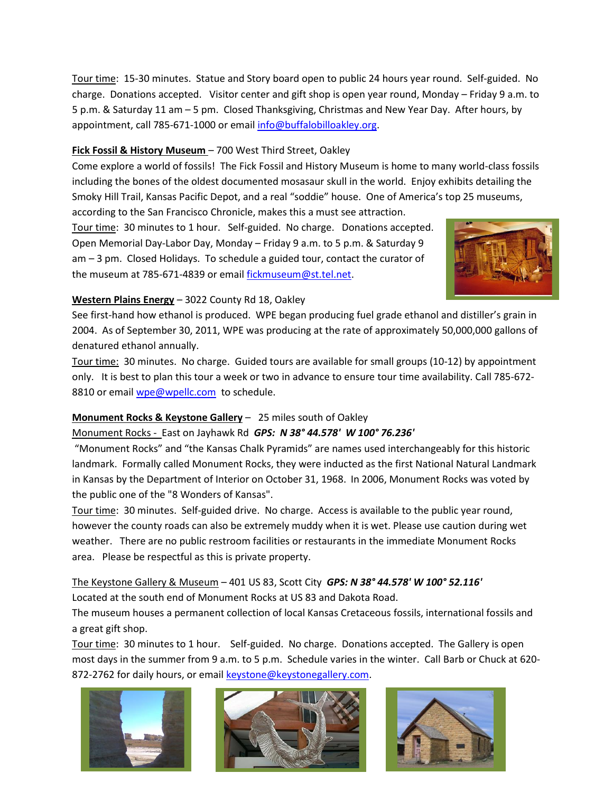Tour time: 15-30 minutes. Statue and Story board open to public 24 hours year round. Self-guided. No charge. Donations accepted. Visitor center and gift shop is open year round, Monday – Friday 9 a.m. to 5 p.m. & Saturday 11 am – 5 pm. Closed Thanksgiving, Christmas and New Year Day. After hours, by appointment, call 785-671-1000 or email [info@buffalobilloakley.org.](mailto:info@buffalobilloakley.org)

#### **Fick Fossil & History Museum** – 700 West Third Street, Oakley

Come explore a world of fossils! The Fick Fossil and History Museum is home to many world-class fossils including the bones of the oldest documented mosasaur skull in the world. Enjoy exhibits detailing the Smoky Hill Trail, Kansas Pacific Depot, and a real "soddie" house. One of America's top 25 museums,

according to the San Francisco Chronicle, makes this a must see attraction.

Tour time: 30 minutes to 1 hour. Self-guided. No charge. Donations accepted. Open Memorial Day-Labor Day, Monday – Friday 9 a.m. to 5 p.m. & Saturday 9 am – 3 pm. Closed Holidays. To schedule a guided tour, contact the curator of the museum at 785-671-4839 or email [fickmuseum@st.tel.net.](mailto:fickmuseum@st.tel.net)



#### **Western Plains Energy** – 3022 County Rd 18, Oakley

See first-hand how ethanol is produced. WPE began producing fuel grade ethanol and distiller's grain in 2004. As of September 30, 2011, WPE was producing at the rate of approximately 50,000,000 gallons of denatured ethanol annually.

Tour time: 30 minutes. No charge. Guided tours are available for small groups (10-12) by appointment only. It is best to plan this tour a week or two in advance to ensure tour time availability. Call 785-672 8810 or email [wpe@wpellc.com](mailto:wpe@wpellc.com) to schedule.

#### **Monument Rocks & Keystone Gallery** – 25 miles south of Oakley

#### Monument Rocks - East on Jayhawk Rd *GPS: N 38° 44.578' W 100° 76.236'*

"Monument Rocks" and "the Kansas Chalk Pyramids" are names used interchangeably for this historic landmark. Formally called Monument Rocks, they were inducted as the first National Natural Landmark in Kansas by the Department of Interior on October 31, 1968. In 2006, Monument Rocks was voted by the public one of the "8 Wonders of Kansas".

Tour time: 30 minutes. Self-guided drive. No charge. Access is available to the public year round, however the county roads can also be extremely muddy when it is wet. Please use caution during wet weather. There are no public restroom facilities or restaurants in the immediate Monument Rocks area. Please be respectful as this is private property.

# The Keystone Gallery & Museum – 401 US 83, Scott City *GPS: N 38° 44.578' W 100° 52.116'* Located at the south end of Monument Rocks at US 83 and Dakota Road.

The museum houses a permanent collection of local Kansas Cretaceous fossils, international fossils and a great gift shop.

Tour time: 30 minutes to 1 hour. Self-guided. No charge. Donations accepted. The Gallery is open most days in the summer from 9 a.m. to 5 p.m. Schedule varies in the winter. Call Barb or Chuck at 620 872-2762 for daily hours, or email [keystone@keystonegallery.com.](mailto:keystone@keystonegallery.com)